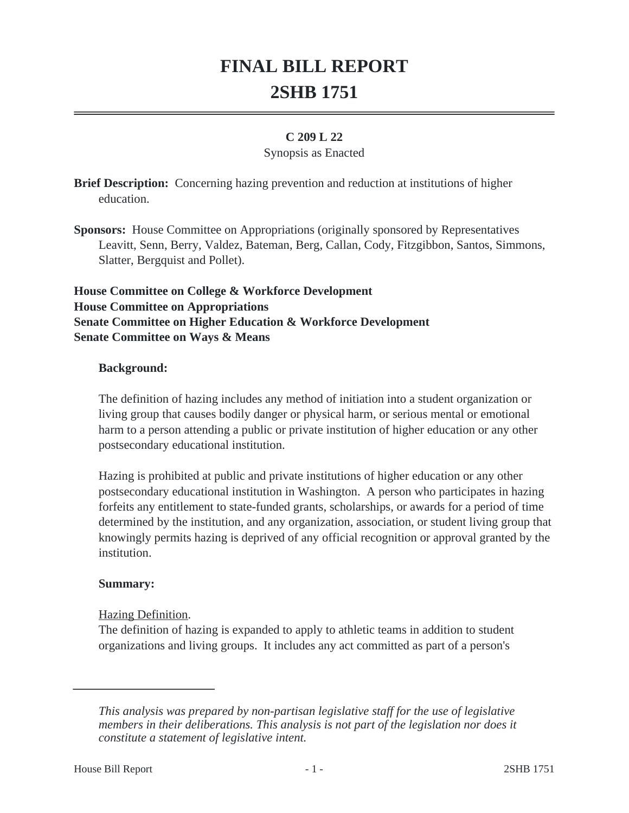# **FINAL BILL REPORT 2SHB 1751**

### **C 209 L 22**

#### Synopsis as Enacted

**Brief Description:** Concerning hazing prevention and reduction at institutions of higher education.

**Sponsors:** House Committee on Appropriations (originally sponsored by Representatives Leavitt, Senn, Berry, Valdez, Bateman, Berg, Callan, Cody, Fitzgibbon, Santos, Simmons, Slatter, Bergquist and Pollet).

**House Committee on College & Workforce Development House Committee on Appropriations Senate Committee on Higher Education & Workforce Development Senate Committee on Ways & Means**

#### **Background:**

The definition of hazing includes any method of initiation into a student organization or living group that causes bodily danger or physical harm, or serious mental or emotional harm to a person attending a public or private institution of higher education or any other postsecondary educational institution.

Hazing is prohibited at public and private institutions of higher education or any other postsecondary educational institution in Washington. A person who participates in hazing forfeits any entitlement to state-funded grants, scholarships, or awards for a period of time determined by the institution, and any organization, association, or student living group that knowingly permits hazing is deprived of any official recognition or approval granted by the institution.

#### **Summary:**

#### Hazing Definition.

The definition of hazing is expanded to apply to athletic teams in addition to student organizations and living groups. It includes any act committed as part of a person's

*This analysis was prepared by non-partisan legislative staff for the use of legislative members in their deliberations. This analysis is not part of the legislation nor does it constitute a statement of legislative intent.*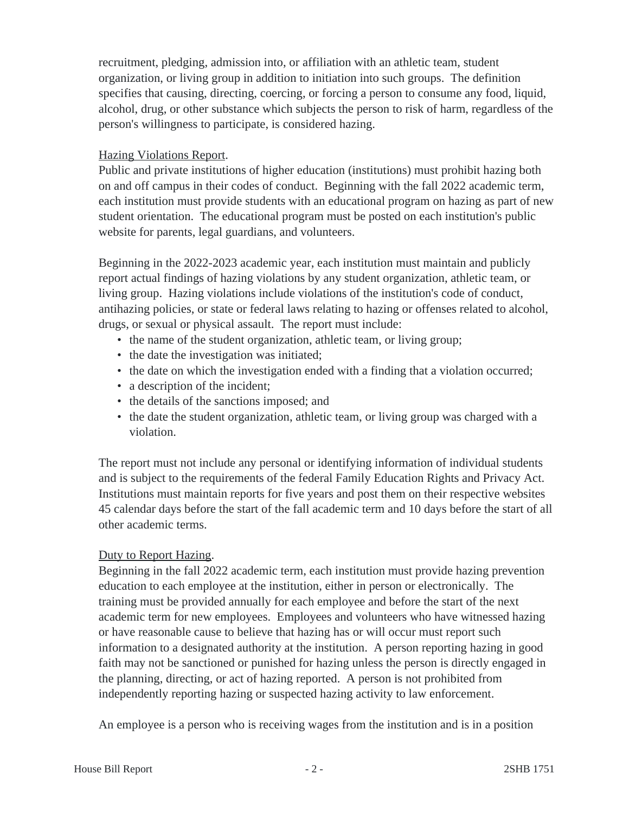recruitment, pledging, admission into, or affiliation with an athletic team, student organization, or living group in addition to initiation into such groups. The definition specifies that causing, directing, coercing, or forcing a person to consume any food, liquid, alcohol, drug, or other substance which subjects the person to risk of harm, regardless of the person's willingness to participate, is considered hazing.

## Hazing Violations Report.

Public and private institutions of higher education (institutions) must prohibit hazing both on and off campus in their codes of conduct. Beginning with the fall 2022 academic term, each institution must provide students with an educational program on hazing as part of new student orientation. The educational program must be posted on each institution's public website for parents, legal guardians, and volunteers.

Beginning in the 2022-2023 academic year, each institution must maintain and publicly report actual findings of hazing violations by any student organization, athletic team, or living group. Hazing violations include violations of the institution's code of conduct, antihazing policies, or state or federal laws relating to hazing or offenses related to alcohol, drugs, or sexual or physical assault. The report must include:

- the name of the student organization, athletic team, or living group;
- the date the investigation was initiated;
- the date on which the investigation ended with a finding that a violation occurred;
- a description of the incident;
- the details of the sanctions imposed; and
- the date the student organization, athletic team, or living group was charged with a violation.

The report must not include any personal or identifying information of individual students and is subject to the requirements of the federal Family Education Rights and Privacy Act. Institutions must maintain reports for five years and post them on their respective websites 45 calendar days before the start of the fall academic term and 10 days before the start of all other academic terms.

# Duty to Report Hazing.

Beginning in the fall 2022 academic term, each institution must provide hazing prevention education to each employee at the institution, either in person or electronically. The training must be provided annually for each employee and before the start of the next academic term for new employees. Employees and volunteers who have witnessed hazing or have reasonable cause to believe that hazing has or will occur must report such information to a designated authority at the institution. A person reporting hazing in good faith may not be sanctioned or punished for hazing unless the person is directly engaged in the planning, directing, or act of hazing reported. A person is not prohibited from independently reporting hazing or suspected hazing activity to law enforcement.

An employee is a person who is receiving wages from the institution and is in a position